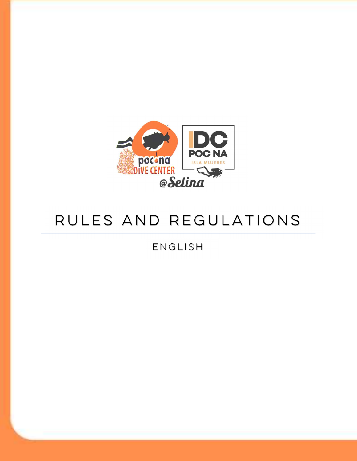

# Rules and regulations

English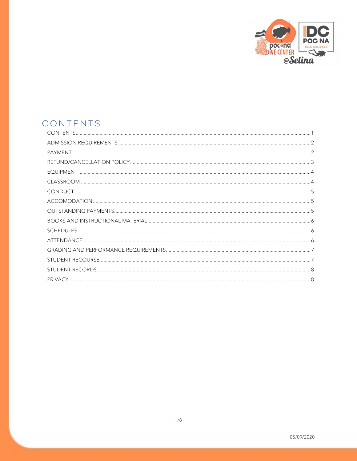

# CONTENTS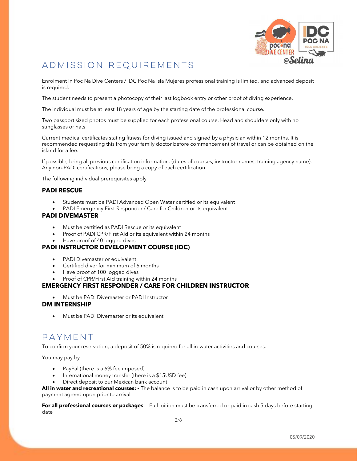

# ADMISSION REQUIREMENTS

Enrolment in Poc Na Dive Centers / IDC Poc Na Isla Mujeres professional training is limited, and advanced deposit is required.

The student needs to present a photocopy of their last logbook entry or other proof of diving experience.

The individual must be at least 18 years of age by the starting date of the professional course.

Two passport sized photos must be supplied for each professional course. Head and shoulders only with no sunglasses or hats

Current medical certificates stating fitness for diving issued and signed by a physician within 12 months. It is recommended requesting this from your family doctor before commencement of travel or can be obtained on the island for a fee.

If possible, bring all previous certification information. (dates of courses, instructor names, training agency name). Any non-PADI certifications, please bring a copy of each certification

The following individual prerequisites apply

#### PADI RESCUE

- Students must be PADI Advanced Open Water certified or its equivalent
- PADI Emergency First Responder / Care for Children or its equivalent

#### PADI DIVEMASTER

- Must be certified as PADI Rescue or its equivalent
- Proof of PADI CPR/First Aid or its equivalent within 24 months
- Have proof of 40 logged dives

#### PADI INSTRUCTOR DEVELOPMENT COURSE (IDC)

- PADI Divemaster or equivalent
- Certified diver for minimum of 6 months
- Have proof of 100 logged dives
- Proof of CPR/First Aid training within 24 months

#### EMERGENCY FIRST RESPONDER / CARE FOR CHILDREN INSTRUCTOR

Must be PADI Divemaster or PADI Instructor

#### DM INTERNSHIP

Must be PADI Divemaster or its equivalent

### PAYMENT

To confirm your reservation, a deposit of 50% is required for all in-water activities and courses.

You may pay by

- PayPal (there is a 6% fee imposed)
- International money transfer (there is a \$15USD fee)
- Direct deposit to our Mexican bank account

All in water and recreational courses: - The balance is to be paid in cash upon arrival or by other method of payment agreed upon prior to arrival

For all professional courses or packages: - Full tuition must be transferred or paid in cash 5 days before starting date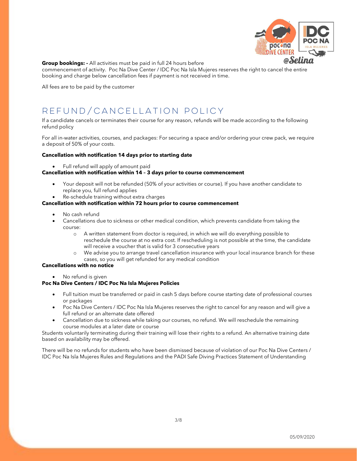

#### **Group bookings: -** All activities must be paid in full 24 hours before

commencement of activity. Poc Na Dive Center / IDC Poc Na Isla Mujeres reserves the right to cancel the entire booking and charge below cancellation fees if payment is not received in time.

All fees are to be paid by the customer

# REFUND/CANCELLATION POLICY

If a candidate cancels or terminates their course for any reason, refunds will be made according to the following refund policy

For all in-water activities, courses, and packages: For securing a space and/or ordering your crew pack, we require a deposit of 50% of your costs.

#### Cancellation with notification 14 days prior to starting date

Full refund will apply of amount paid

#### Cancellation with notification within 14 – 3 days prior to course commencement

- Your deposit will not be refunded (50% of your activities or course). If you have another candidate to replace you, full refund applies
- Re-schedule training without extra charges

#### Cancellation with notification within 72 hours prior to course commencement

- No cash refund
- Cancellations due to sickness or other medical condition, which prevents candidate from taking the course:
	- o A written statement from doctor is required, in which we will do everything possible to reschedule the course at no extra cost. If rescheduling is not possible at the time, the candidate will receive a voucher that is valid for 3 consecutive years
	- o We advise you to arrange travel cancellation insurance with your local insurance branch for these cases, so you will get refunded for any medical condition

#### Cancellations with no notice

• No refund is given

#### Poc Na Dive Centers / IDC Poc Na Isla Mujeres Policies

- Full tuition must be transferred or paid in cash 5 days before course starting date of professional courses or packages
- Poc Na Dive Centers / IDC Poc Na Isla Mujeres reserves the right to cancel for any reason and will give a full refund or an alternate date offered
- Cancellation due to sickness while taking our courses, no refund. We will reschedule the remaining course modules at a later date or course

Students voluntarily terminating during their training will lose their rights to a refund. An alternative training date based on availability may be offered.

There will be no refunds for students who have been dismissed because of violation of our Poc Na Dive Centers / IDC Poc Na Isla Mujeres Rules and Regulations and the PADI Safe Diving Practices Statement of Understanding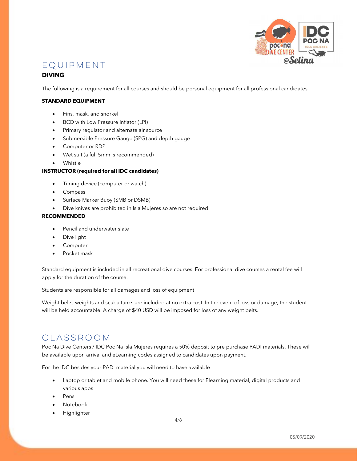

### EQUIPMENT

#### DIVING

The following is a requirement for all courses and should be personal equipment for all professional candidates

#### STANDARD EQUIPMENT

- Fins, mask, and snorkel
- **BCD** with Low Pressure Inflator (LPI)
- Primary regulator and alternate air source
- Submersible Pressure Gauge (SPG) and depth gauge
- Computer or RDP
- Wet suit (a full 5mm is recommended)
- Whistle

#### INSTRUCTOR (required for all IDC candidates)

- Timing device (computer or watch)
- Compass
- Surface Marker Buoy (SMB or DSMB)
- Dive knives are prohibited in Isla Mujeres so are not required

#### RECOMMENDED

- Pencil and underwater slate
- Dive light
- Computer
- Pocket mask

Standard equipment is included in all recreational dive courses. For professional dive courses a rental fee will apply for the duration of the course.

Students are responsible for all damages and loss of equipment

Weight belts, weights and scuba tanks are included at no extra cost. In the event of loss or damage, the student will be held accountable. A charge of \$40 USD will be imposed for loss of any weight belts.

### CLASSROOM

Poc Na Dive Centers / IDC Poc Na Isla Mujeres requires a 50% deposit to pre purchase PADI materials. These will be available upon arrival and eLearning codes assigned to candidates upon payment.

For the IDC besides your PADI material you will need to have available

- Laptop or tablet and mobile phone. You will need these for Elearning material, digital products and various apps
- Pens
- Notebook
- Highlighter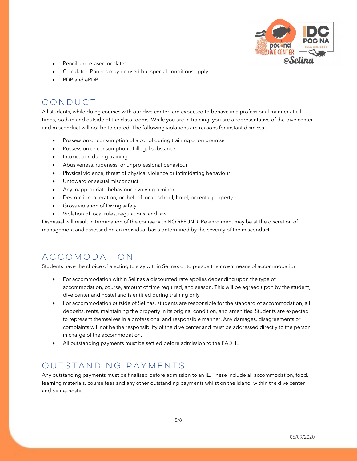

- Pencil and eraser for slates
- Calculator. Phones may be used but special conditions apply
- RDP and eRDP

### CONDUCT

All students, while doing courses with our dive center, are expected to behave in a professional manner at all times, both in and outside of the class rooms. While you are in training, you are a representative of the dive center and misconduct will not be tolerated. The following violations are reasons for instant dismissal.

- Possession or consumption of alcohol during training or on premise
- Possession or consumption of illegal substance
- Intoxication during training
- Abusiveness, rudeness, or unprofessional behaviour
- Physical violence, threat of physical violence or intimidating behaviour
- Untoward or sexual misconduct
- Any inappropriate behaviour involving a minor
- Destruction, alteration, or theft of local, school, hotel, or rental property
- Gross violation of Diving safety
- Violation of local rules, regulations, and law

Dismissal will result in termination of the course with NO REFUND. Re enrolment may be at the discretion of management and assessed on an individual basis determined by the severity of the misconduct.

## ACCOMODATION

Students have the choice of electing to stay within Selinas or to pursue their own means of accommodation

- For accommodation within Selinas a discounted rate applies depending upon the type of accommodation, course, amount of time required, and season. This will be agreed upon by the student, dive center and hostel and is entitled during training only
- For accommodation outside of Selinas, students are responsible for the standard of accommodation, all deposits, rents, maintaining the property in its original condition, and amenities. Students are expected to represent themselves in a professional and responsible manner. Any damages, disagreements or complaints will not be the responsibility of the dive center and must be addressed directly to the person in charge of the accommodation.
- All outstanding payments must be settled before admission to the PADI IE

### OUTSTANDING PAYMENTS

Any outstanding payments must be finalised before admission to an IE. These include all accommodation, food, learning materials, course fees and any other outstanding payments whilst on the island, within the dive center and Selina hostel.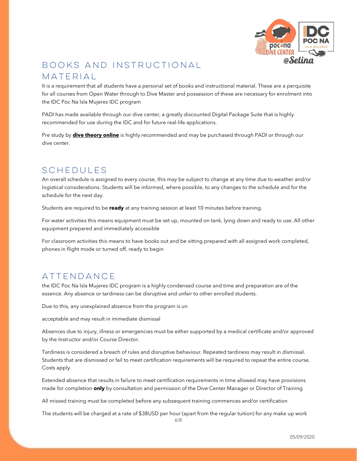

# BOOKS AND INSTRUCTIONAL MATERIAL

It is a requirement that all students have a personal set of books and instructional material. These are a perquisite for all courses from Open Water through to Dive Master and possession of these are necessary for enrolment into the IDC Poc Na Isla Mujeres IDC program

PADI has made available through our dive center, a greatly discounted Digital Package Suite that is highly recommended for use during the IDC and for future real-life applications.

Pre study by **dive theory online** is highly recommended and may be purchased through PADI or through our dive center.

## SCHEDULES

An overall schedule is assigned to every course, this may be subject to change at any time due to weather and/or logistical considerations. Students will be informed, where possible, to any changes to the schedule and for the schedule for the next day.

Students are required to be ready at any training session at least 10 minutes before training.

For water activities this means equipment must be set up, mounted on tank, lying down and ready to use. All other equipment prepared and immediately accessible

For classroom activities this means to have books out and be sitting prepared with all assigned work completed, phones in flight mode or turned off, ready to begin

### ATTENDANCE

the IDC Poc Na Isla Mujeres IDC program is a highly condensed course and time and preparation are of the essence. Any absence or tardiness can be disruptive and unfair to other enrolled students.

Due to this, any unexplained absence from the program is un

acceptable and may result in immediate dismissal

Absences due to injury, illness or emergencies must be either supported by a medical certificate and/or approved by the Instructor and/or Course Director.

Tardiness is considered a breach of rules and disruptive behaviour. Repeated tardiness may result in dismissal. Students that are dismissed or fail to meet certification requirements will be required to repeat the entire course. Costs apply.

Extended absence that results in failure to meet certification requirements in time allowed may have provisions made for completion **only** by consultation and permission of the Dive Center Manager or Director of Training

All missed training must be completed before any subsequent training commences and/or certification

The students will be charged at a rate of \$38USD per hour (apart from the regular tuition) for any make up work

6/8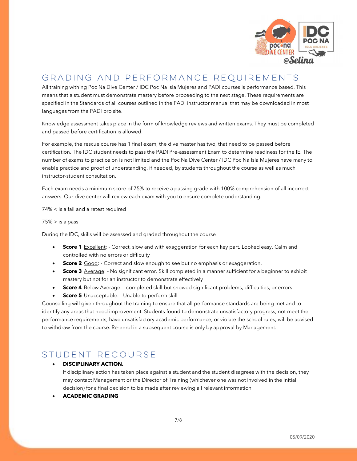

# GRADING AND PERFORMANCE REQUIREMENTS

All training withing Poc Na Dive Center / IDC Poc Na Isla Mujeres and PADI courses is performance based. This means that a student must demonstrate mastery before proceeding to the next stage. These requirements are specified in the Standards of all courses outlined in the PADI instructor manual that may be downloaded in most languages from the PADI pro site.

Knowledge assessment takes place in the form of knowledge reviews and written exams. They must be completed and passed before certification is allowed.

For example, the rescue course has 1 final exam, the dive master has two, that need to be passed before certification. The IDC student needs to pass the PADI Pre-assessment Exam to determine readiness for the IE. The number of exams to practice on is not limited and the Poc Na Dive Center / IDC Poc Na Isla Mujeres have many to enable practice and proof of understanding, if needed, by students throughout the course as well as much instructor-student consultation.

Each exam needs a minimum score of 75% to receive a passing grade with 100% comprehension of all incorrect answers. Our dive center will review each exam with you to ensure complete understanding.

74% < is a fail and a retest required

 $75\%$  > is a pass

During the IDC, skills will be assessed and graded throughout the course

- Score 1 Excellent: Correct, slow and with exaggeration for each key part. Looked easy. Calm and controlled with no errors or difficulty
- Score 2 Good: Correct and slow enough to see but no emphasis or exaggeration.
- **Score 3** Average: No significant error. Skill completed in a manner sufficient for a beginner to exhibit mastery but not for an instructor to demonstrate effectively
- **Score 4** Below Average: completed skill but showed significant problems, difficulties, or errors
- **Score 5** Unacceptable: Unable to perform skill

Counselling will given throughout the training to ensure that all performance standards are being met and to identify any areas that need improvement. Students found to demonstrate unsatisfactory progress, not meet the performance requirements, have unsatisfactory academic performance, or violate the school rules, will be advised to withdraw from the course. Re-enrol in a subsequent course is only by approval by Management.

### STUDENT RECOURSE

#### DISCIPLINARY ACTION.

If disciplinary action has taken place against a student and the student disagrees with the decision, they may contact Management or the Director of Training (whichever one was not involved in the initial decision) for a final decision to be made after reviewing all relevant information

ACADEMIC GRADING